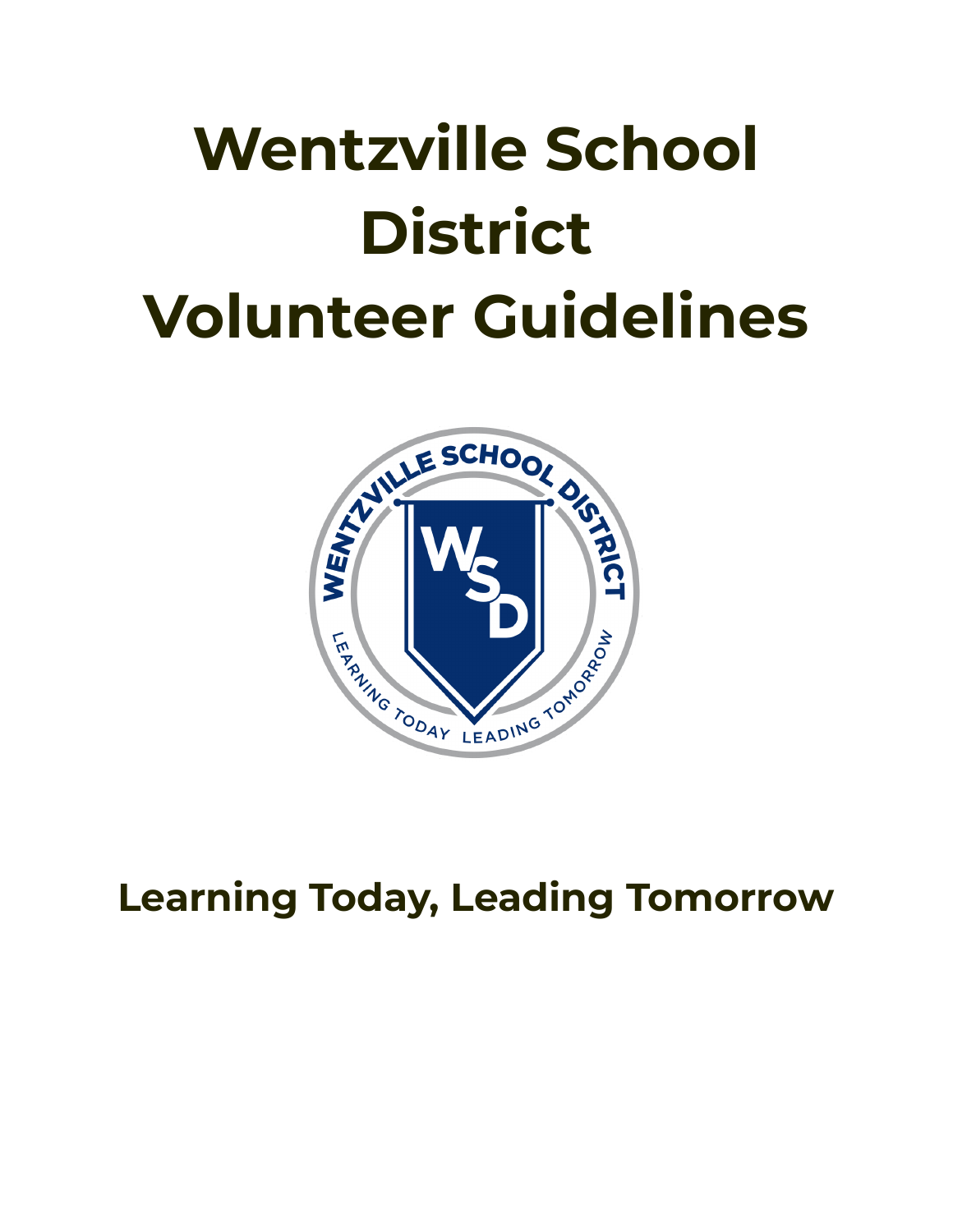# **Wentzville School District Volunteer Guidelines**



## **Learning Today, Leading Tomorrow**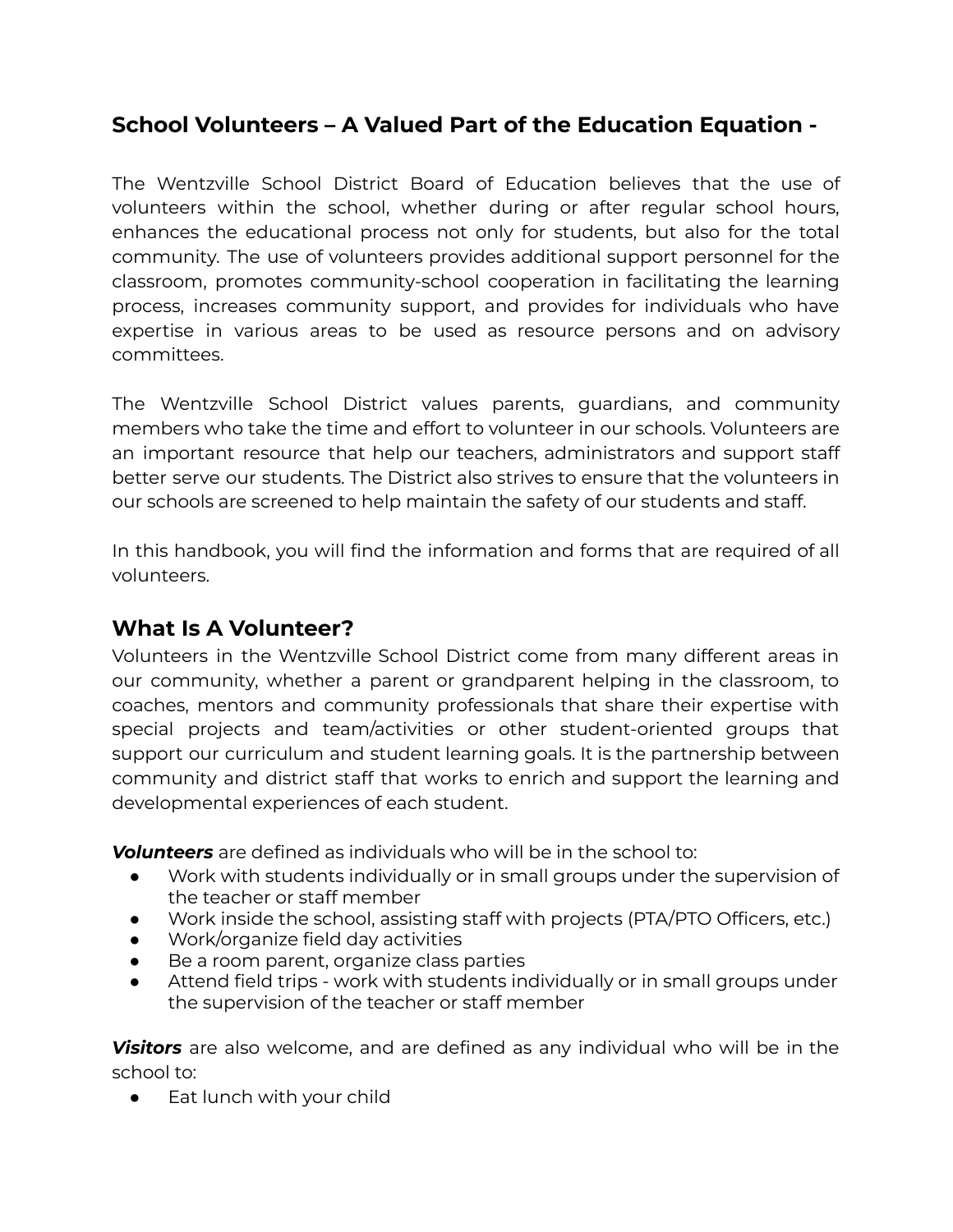### **School Volunteers – A Valued Part of the Education Equation -**

The Wentzville School District Board of Education believes that the use of volunteers within the school, whether during or after regular school hours, enhances the educational process not only for students, but also for the total community. The use of volunteers provides additional support personnel for the classroom, promotes community-school cooperation in facilitating the learning process, increases community support, and provides for individuals who have expertise in various areas to be used as resource persons and on advisory committees.

The Wentzville School District values parents, guardians, and community members who take the time and effort to volunteer in our schools. Volunteers are an important resource that help our teachers, administrators and support staff better serve our students. The District also strives to ensure that the volunteers in our schools are screened to help maintain the safety of our students and staff.

In this handbook, you will find the information and forms that are required of all volunteers.

#### **What Is A Volunteer?**

Volunteers in the Wentzville School District come from many different areas in our community, whether a parent or grandparent helping in the classroom, to coaches, mentors and community professionals that share their expertise with special projects and team/activities or other student-oriented groups that support our curriculum and student learning goals. It is the partnership between community and district staff that works to enrich and support the learning and developmental experiences of each student.

*Volunteers* are defined as individuals who will be in the school to:

- Work with students individually or in small groups under the supervision of the teacher or staff member
- Work inside the school, assisting staff with projects (PTA/PTO Officers, etc.)
- Work/organize field day activities
- Be a room parent, organize class parties
- Attend field trips work with students individually or in small groups under the supervision of the teacher or staff member

*Visitors* are also welcome, and are defined as any individual who will be in the school to:

● Eat lunch with your child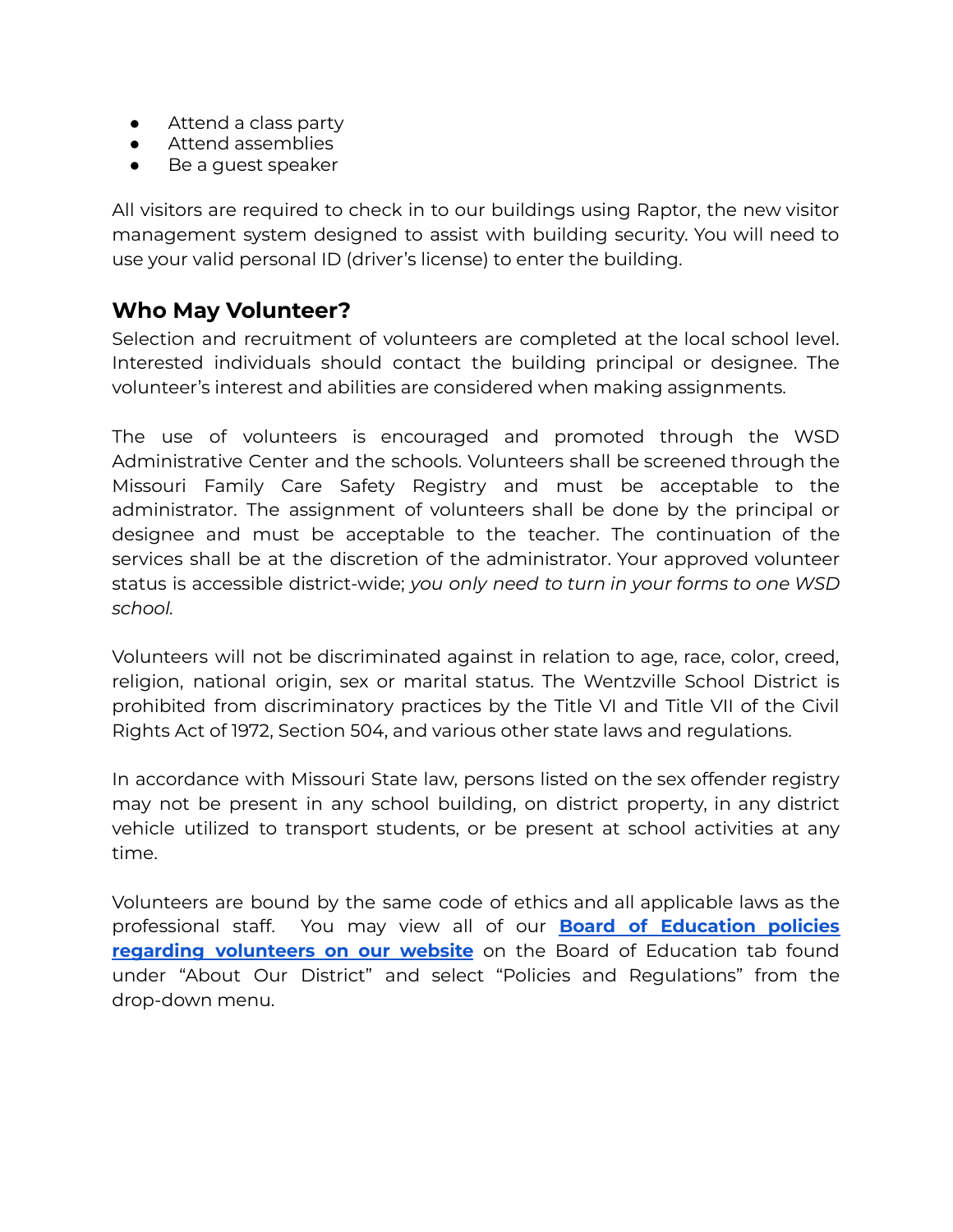- Attend a class party
- Attend assemblies
- Be a guest speaker

All visitors are required to check in to our buildings using Raptor, the new visitor management system designed to assist with building security. You will need to use your valid personal ID (driver's license) to enter the building.

#### **Who May Volunteer?**

Selection and recruitment of volunteers are completed at the local school level. Interested individuals should contact the building principal or designee. The volunteer's interest and abilities are considered when making assignments.

The use of volunteers is encouraged and promoted through the WSD Administrative Center and the schools. Volunteers shall be screened through the Missouri Family Care Safety Registry and must be acceptable to the administrator. The assignment of volunteers shall be done by the principal or designee and must be acceptable to the teacher. The continuation of the services shall be at the discretion of the administrator. Your approved volunteer status is accessible district-wide; *you only need to turn in your forms to one WSD school.*

Volunteers will not be discriminated against in relation to age, race, color, creed, religion, national origin, sex or marital status. The Wentzville School District is prohibited from discriminatory practices by the Title VI and Title VII of the Civil Rights Act of 1972, Section 504, and various other state laws and regulations.

In accordance with Missouri State law, persons listed on the sex offender registry may not be present in any school building, on district property, in any district vehicle utilized to transport students, or be present at school activities at any time.

Volunteers are bound by the same code of ethics and all applicable laws as the professional staff. You may view all of our **Board of [Education](https://www.wentzville.k12.mo.us/domain/455) policies regarding [volunteers](https://www.wentzville.k12.mo.us/domain/455) on our website** on the Board of Education tab found under "About Our District" and select "Policies and Regulations" from the drop-down menu.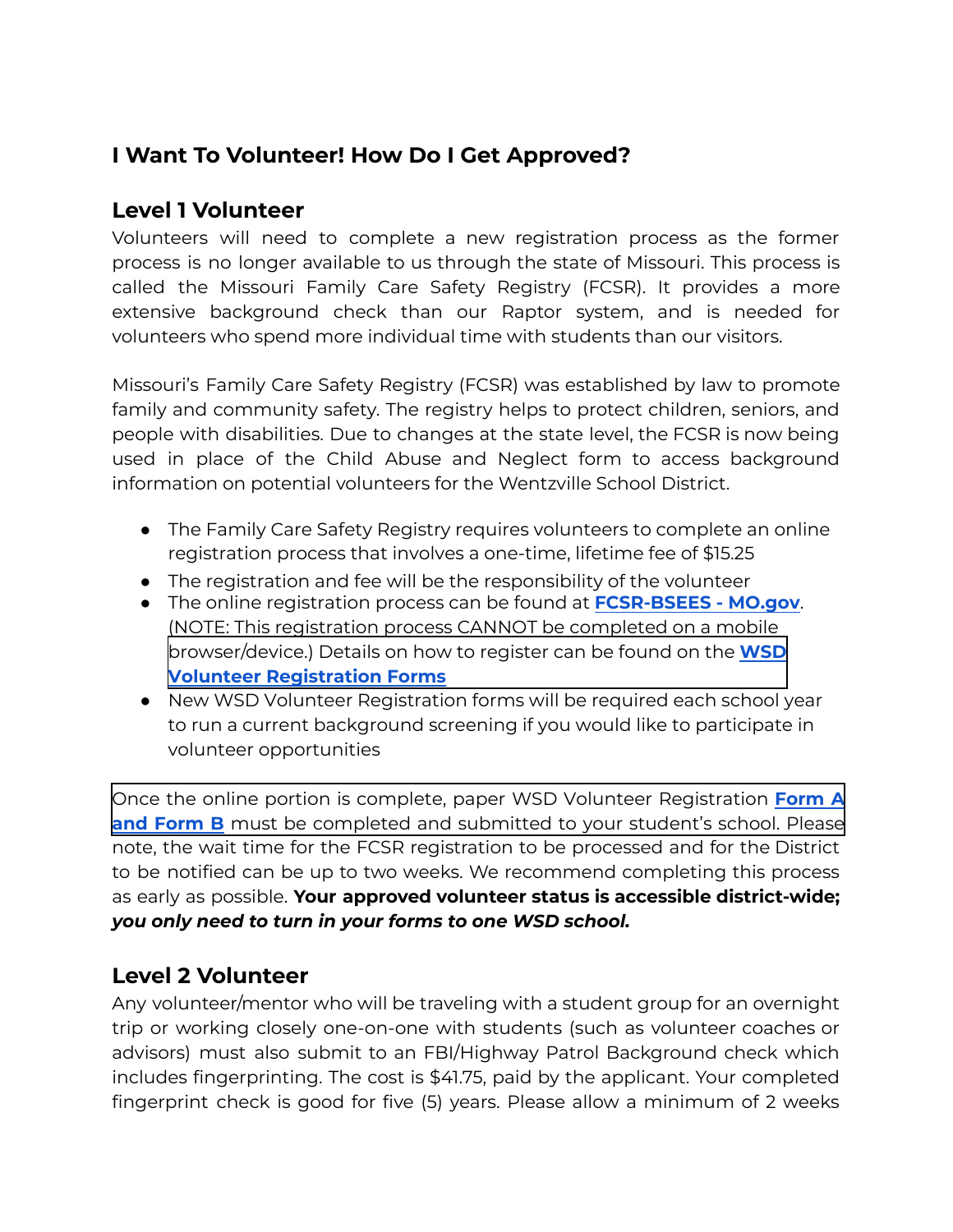### **I Want To Volunteer! How Do I Get Approved?**

#### **Level 1 Volunteer**

Volunteers will need to complete a new registration process as the former process is no longer available to us through the state of Missouri. This process is called the Missouri Family Care Safety Registry (FCSR). It provides a more extensive background check than our Raptor system, and is needed for volunteers who spend more individual time with students than our visitors.

Missouri's Family Care Safety Registry (FCSR) was established by law to promote family and community safety. The registry helps to protect children, seniors, and people with disabilities. Due to changes at the state level, the FCSR is now being used in place of the Child Abuse and Neglect form to access background information on potential volunteers for the Wentzville School District.

- The Family Care Safety Registry requires volunteers to complete an online registration process that involves a one-time, lifetime fee of \$15.25
- The registration and fee will be the responsibility of the volunteer
- The online registration process can be found at **[FCSR-BSEES](https://healthapps.dhss.mo.gov/BSEES/Main.aspx?sk=SK1765730116) - MO.gov**. (NOTE: This registration process CANNOT be completed on a mobile browser/device.) Details on how to register can be found on the **WSD [Volunteer Registration Forms](https://www.wentzville.k12.mo.us/cms/lib/MO02202303/Centricity/domain/88/volunteers/2021.2022%20WSD%20Volunteer%20Forms%20A.B_Writeable_Updated.pdf)**
- New WSD Volunteer Registration forms will be required each school year to run a current background screening if you would like to participate in volunteer opportunities

Once the online portion is complete, paper WSD Volunteer [Registration](https://www.wentzville.k12.mo.us/cms/lib/MO02202303/Centricity/domain/88/volunteers/2021.2022%20WSD%20Volunteer%20Forms%20A.B_Writeable_Updated.pdf) **[Form](https://www.wentzville.k12.mo.us/cms/lib/MO02202303/Centricity/domain/88/volunteers/2021.2022%20WSD%20Volunteer%20Forms%20A.B_Writeable_1.pdf) A and Form B** must be completed and submitted to your student's school. Please note, the wait time for the FCSR registration to be processed and for the District to be notified can be up to two weeks. We recommend completing this process as early as possible. **Your approved volunteer status is accessible district-wide;** *you only need to turn in your forms to one WSD school.*

#### **Level 2 Volunteer**

Any volunteer/mentor who will be traveling with a student group for an overnight trip or working closely one-on-one with students (such as volunteer coaches or advisors) must also submit to an FBI/Highway Patrol Background check which includes fingerprinting. The cost is \$41.75, paid by the applicant. Your completed fingerprint check is good for five (5) years. Please allow a minimum of 2 weeks